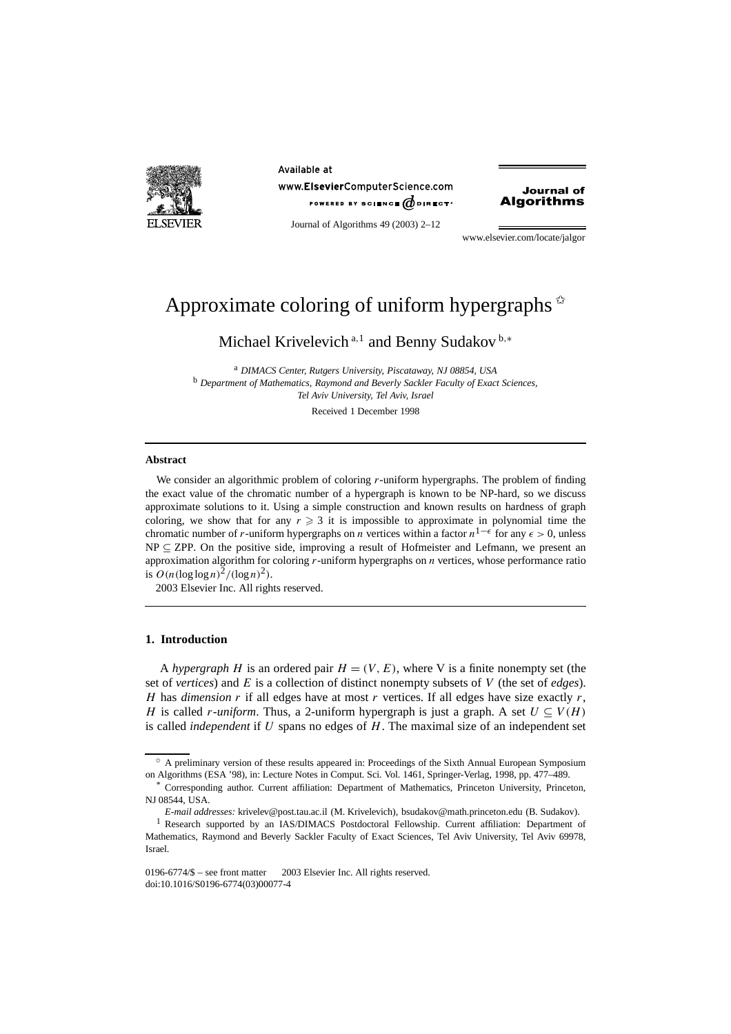

Available at www.ElsevierComputerScience.com POWERED BY SCIENCE  $\phi$  direct<sup>®</sup>



Journal of Algorithms 49 (2003) 2–12

www.elsevier.com/locate/jalgor

# Approximate coloring of uniform hypergraphs  $\dot{\alpha}$

Michael Krivelevich <sup>a</sup>*,*<sup>1</sup> and Benny Sudakov <sup>b</sup>*,*<sup>∗</sup>

<sup>a</sup> *DIMACS Center, Rutgers University, Piscataway, NJ 08854, USA* <sup>b</sup> *Department of Mathematics, Raymond and Beverly Sackler Faculty of Exact Sciences, Tel Aviv University, Tel Aviv, Israel*

Received 1 December 1998

#### **Abstract**

We consider an algorithmic problem of coloring *r*-uniform hypergraphs. The problem of finding the exact value of the chromatic number of a hypergraph is known to be NP-hard, so we discuss approximate solutions to it. Using a simple construction and known results on hardness of graph coloring, we show that for any  $r \geq 3$  it is impossible to approximate in polynomial time the chromatic number of *r*-uniform hypergraphs on *n* vertices within a factor  $n^{1-\epsilon}$  for any  $\epsilon > 0$ , unless  $NP \subseteq ZPP$ . On the positive side, improving a result of Hofmeister and Lefmann, we present an approximation algorithm for coloring *r*-uniform hypergraphs on *n* vertices, whose performance ratio is  $O(n(\log \log n)^2/(\log n)^2)$ .

2003 Elsevier Inc. All rights reserved.

## **1. Introduction**

A *hypergraph H* is an ordered pair  $H = (V, E)$ , where V is a finite nonempty set (the set of *vertices*) and *E* is a collection of distinct nonempty subsets of *V* (the set of *edges*). *H* has *dimension r* if all edges have at most *r* vertices. If all edges have size exactly *r*, *H* is called *r-uniform*. Thus, a 2-uniform hypergraph is just a graph. A set  $U \subseteq V(H)$ is called *independent* if *U* spans no edges of *H*. The maximal size of an independent set

<sup>✩</sup> A preliminary version of these results appeared in: Proceedings of the Sixth Annual European Symposium on Algorithms (ESA '98), in: Lecture Notes in Comput. Sci. Vol. 1461, Springer-Verlag, 1998, pp. 477–489.

<sup>\*</sup> Corresponding author. Current affiliation: Department of Mathematics, Princeton University, Princeton, NJ 08544, USA.

*E-mail addresses:* krivelev@post.tau.ac.il (M. Krivelevich), bsudakov@math.princeton.edu (B. Sudakov).

<sup>&</sup>lt;sup>1</sup> Research supported by an IAS/DIMACS Postdoctoral Fellowship. Current affiliation: Department of Mathematics, Raymond and Beverly Sackler Faculty of Exact Sciences, Tel Aviv University, Tel Aviv 69978, Israel.

<sup>0196-6774/\$ –</sup> see front matter  $\degree$  2003 Elsevier Inc. All rights reserved. doi:10.1016/S0196-6774(03)00077-4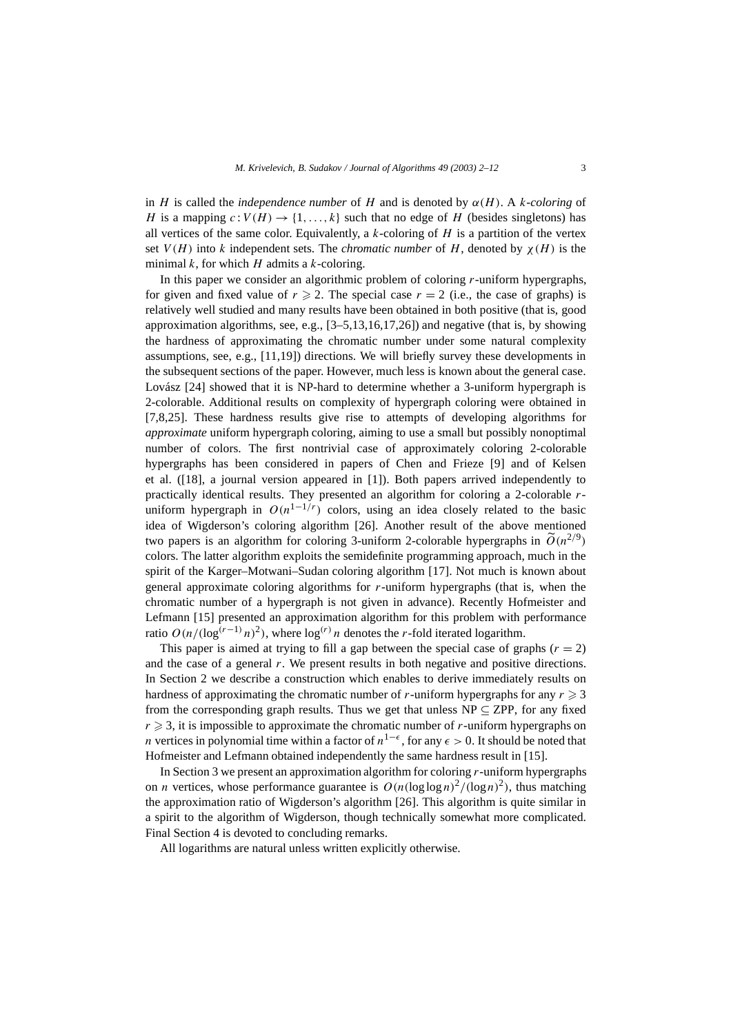in *H* is called the *independence number* of *H* and is denoted by  $\alpha(H)$ . A *k*-coloring of *H* is a mapping  $c: V(H) \rightarrow \{1, ..., k\}$  such that no edge of *H* (besides singletons) has all vertices of the same color. Equivalently, a *k*-coloring of *H* is a partition of the vertex set  $V(H)$  into k independent sets. The *chromatic number* of H, denoted by  $\chi(H)$  is the minimal *k*, for which *H* admits a *k*-coloring.

In this paper we consider an algorithmic problem of coloring *r*-uniform hypergraphs, for given and fixed value of  $r \ge 2$ . The special case  $r = 2$  (i.e., the case of graphs) is relatively well studied and many results have been obtained in both positive (that is, good approximation algorithms, see, e.g., [3–5,13,16,17,26]) and negative (that is, by showing the hardness of approximating the chromatic number under some natural complexity assumptions, see, e.g., [11,19]) directions. We will briefly survey these developments in the subsequent sections of the paper. However, much less is known about the general case. Lovász [24] showed that it is NP-hard to determine whether a 3-uniform hypergraph is 2-colorable. Additional results on complexity of hypergraph coloring were obtained in [7,8,25]. These hardness results give rise to attempts of developing algorithms for *approximate* uniform hypergraph coloring, aiming to use a small but possibly nonoptimal number of colors. The first nontrivial case of approximately coloring 2-colorable hypergraphs has been considered in papers of Chen and Frieze [9] and of Kelsen et al. ([18], a journal version appeared in [1]). Both papers arrived independently to practically identical results. They presented an algorithm for coloring a 2-colorable *r*uniform hypergraph in  $O(n^{1-1/r})$  colors, using an idea closely related to the basic idea of Wigderson's coloring algorithm [26]. Another result of the above mentioned two papers is an algorithm for coloring 3-uniform 2-colorable hypergraphs in  $\tilde{O}(n^{2/9})$ colors. The latter algorithm exploits the semidefinite programming approach, much in the spirit of the Karger–Motwani–Sudan coloring algorithm [17]. Not much is known about general approximate coloring algorithms for *r*-uniform hypergraphs (that is, when the chromatic number of a hypergraph is not given in advance). Recently Hofmeister and Lefmann [15] presented an approximation algorithm for this problem with performance ratio  $O(n/(\log^{(r-1)} n)^2)$ , where  $\log^{(r)} n$  denotes the *r*-fold iterated logarithm.

This paper is aimed at trying to fill a gap between the special case of graphs  $(r = 2)$ and the case of a general  $r$ . We present results in both negative and positive directions. In Section 2 we describe a construction which enables to derive immediately results on hardness of approximating the chromatic number of *r*-uniform hypergraphs for any  $r \geq 3$ from the corresponding graph results. Thus we get that unless  $NP \subseteq ZPP$ , for any fixed  $r \geq 3$ , it is impossible to approximate the chromatic number of *r*-uniform hypergraphs on *n* vertices in polynomial time within a factor of  $n^{1-\epsilon}$ , for any  $\epsilon > 0$ . It should be noted that Hofmeister and Lefmann obtained independently the same hardness result in [15].

In Section 3 we present an approximation algorithm for coloring *r*-uniform hypergraphs on *n* vertices, whose performance guarantee is  $O(n(\log \log n)^2/(\log n)^2)$ , thus matching the approximation ratio of Wigderson's algorithm [26]. This algorithm is quite similar in a spirit to the algorithm of Wigderson, though technically somewhat more complicated. Final Section 4 is devoted to concluding remarks.

All logarithms are natural unless written explicitly otherwise.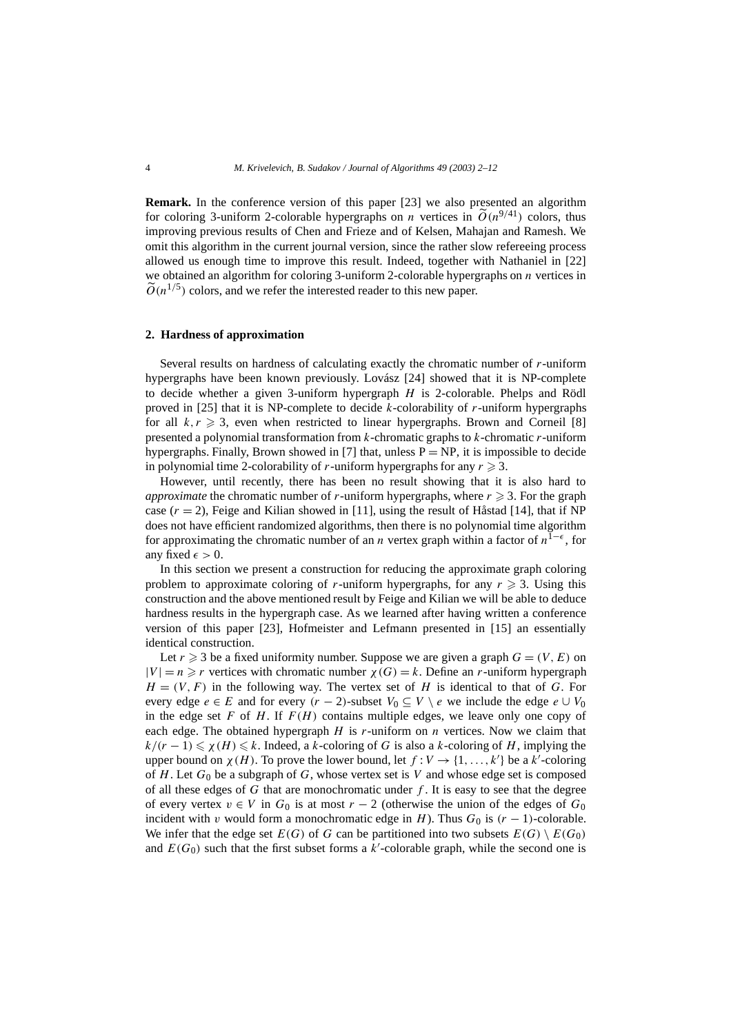**Remark.** In the conference version of this paper [23] we also presented an algorithm for coloring 3-uniform 2-colorable hypergraphs on *n* vertices in  $\tilde{O}(n^{9/41})$  colors, thus improving previous results of Chen and Frieze and of Kelsen, Mahajan and Ramesh. We omit this algorithm in the current journal version, since the rather slow refereeing process allowed us enough time to improve this result. Indeed, together with Nathaniel in [22] we obtained an algorithm for coloring 3-uniform 2-colorable hypergraphs on *n* vertices in  $\widetilde{O}(n^{1/5})$  colors, and we refer the interested reader to this new paper.

#### **2. Hardness of approximation**

Several results on hardness of calculating exactly the chromatic number of *r*-uniform hypergraphs have been known previously. Lovász [24] showed that it is NP-complete to decide whether a given 3-uniform hypergraph *H* is 2-colorable. Phelps and Rödl proved in [25] that it is NP-complete to decide *k*-colorability of *r*-uniform hypergraphs for all  $k, r \geq 3$ , even when restricted to linear hypergraphs. Brown and Corneil [8] presented a polynomial transformation from *k*-chromatic graphs to *k*-chromatic *r*-uniform hypergraphs. Finally, Brown showed in [7] that, unless  $P = NP$ , it is impossible to decide in polynomial time 2-colorability of *r*-uniform hypergraphs for any  $r \ge 3$ .

However, until recently, there has been no result showing that it is also hard to *approximate* the chromatic number of *r*-uniform hypergraphs, where  $r \geq 3$ . For the graph case  $(r = 2)$ , Feige and Kilian showed in [11], using the result of Håstad [14], that if NP does not have efficient randomized algorithms, then there is no polynomial time algorithm for approximating the chromatic number of an *n* vertex graph within a factor of  $n^{1-\epsilon}$ , for any fixed  $\epsilon > 0$ .

In this section we present a construction for reducing the approximate graph coloring problem to approximate coloring of *r*-uniform hypergraphs, for any  $r \geq 3$ . Using this construction and the above mentioned result by Feige and Kilian we will be able to deduce hardness results in the hypergraph case. As we learned after having written a conference version of this paper [23], Hofmeister and Lefmann presented in [15] an essentially identical construction.

Let  $r \geq 3$  be a fixed uniformity number. Suppose we are given a graph  $G = (V, E)$  on  $|V| = n \ge r$  vertices with chromatic number  $\chi(G) = k$ . Define an *r*-uniform hypergraph  $H = (V, F)$  in the following way. The vertex set of *H* is identical to that of *G*. For every edge  $e \in E$  and for every  $(r - 2)$ -subset  $V_0 \subseteq V \setminus e$  we include the edge  $e \cup V_0$ in the edge set  $F$  of  $H$ . If  $F(H)$  contains multiple edges, we leave only one copy of each edge. The obtained hypergraph *H* is *r*-uniform on *n* vertices. Now we claim that  $k/(r-1) \le \chi(H) \le k$ . Indeed, a *k*-coloring of *G* is also a *k*-coloring of *H*, implying the upper bound on  $\chi(H)$ . To prove the lower bound, let  $f: V \to \{1, ..., k'\}$  be a  $k'$ -coloring of  $H$ . Let  $G_0$  be a subgraph of  $G$ , whose vertex set is  $V$  and whose edge set is composed of all these edges of *G* that are monochromatic under *f* . It is easy to see that the degree of every vertex  $v \in V$  in  $G_0$  is at most  $r - 2$  (otherwise the union of the edges of  $G_0$ incident with *v* would form a monochromatic edge in *H*). Thus  $G_0$  is  $(r - 1)$ -colorable. We infer that the edge set  $E(G)$  of *G* can be partitioned into two subsets  $E(G) \setminus E(G_0)$ and  $E(G_0)$  such that the first subset forms a  $k'$ -colorable graph, while the second one is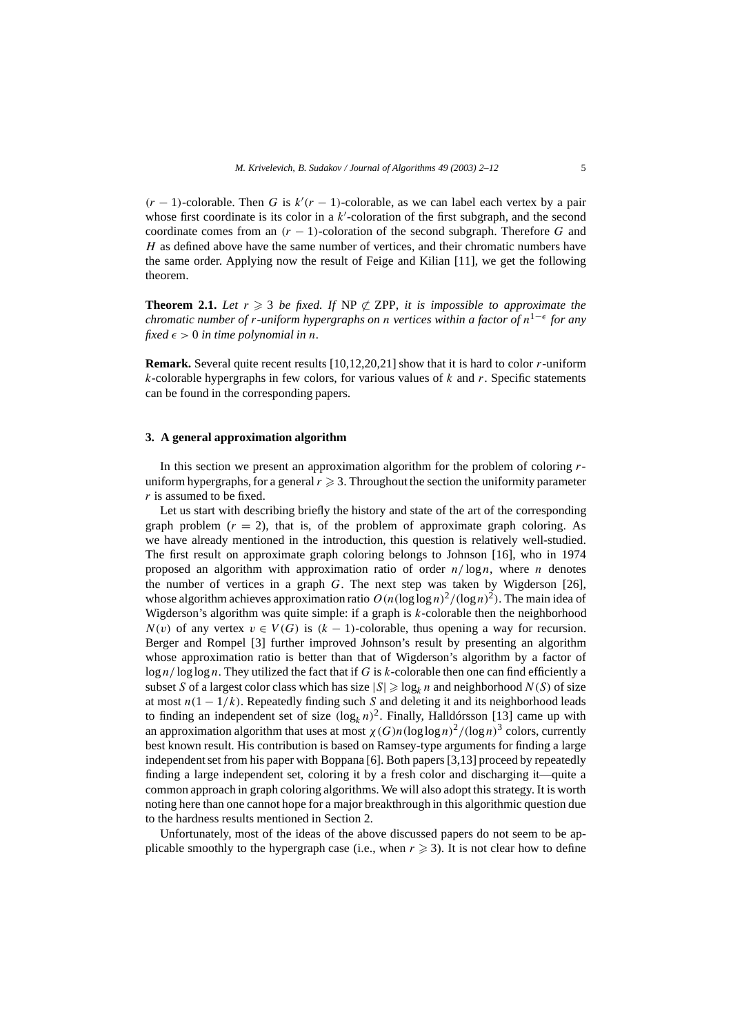$(r - 1)$ -colorable. Then *G* is  $k'(r - 1)$ -colorable, as we can label each vertex by a pair whose first coordinate is its color in a  $k'$ -coloration of the first subgraph, and the second coordinate comes from an  $(r - 1)$ -coloration of the second subgraph. Therefore G and *H* as defined above have the same number of vertices, and their chromatic numbers have the same order. Applying now the result of Feige and Kilian [11], we get the following theorem.

**Theorem 2.1.** Let  $r \geq 3$  be fixed. If NP  $\nsubseteq$  ZPP, it is impossible to approximate the *chromatic number of r-uniform hypergraphs on n vertices within a factor of*  $n^{1-\epsilon}$  *for any fixed*  $\epsilon > 0$  *in time polynomial in n.* 

**Remark.** Several quite recent results [10,12,20,21] show that it is hard to color *r*-uniform *k*-colorable hypergraphs in few colors, for various values of *k* and *r*. Specific statements can be found in the corresponding papers.

#### **3. A general approximation algorithm**

In this section we present an approximation algorithm for the problem of coloring *r*uniform hypergraphs, for a general  $r \geqslant 3$ . Throughout the section the uniformity parameter *r* is assumed to be fixed.

Let us start with describing briefly the history and state of the art of the corresponding graph problem  $(r = 2)$ , that is, of the problem of approximate graph coloring. As we have already mentioned in the introduction, this question is relatively well-studied. The first result on approximate graph coloring belongs to Johnson [16], who in 1974 proposed an algorithm with approximation ratio of order *n/* log*n*, where *n* denotes the number of vertices in a graph *G*. The next step was taken by Wigderson [26], whose algorithm achieves approximation ratio  $O(n(\log \log n)^2/(\log n)^2)$ . The main idea of Wigderson's algorithm was quite simple: if a graph is *k*-colorable then the neighborhood  $N(v)$  of any vertex  $v \in V(G)$  is  $(k-1)$ -colorable, thus opening a way for recursion. Berger and Rompel [3] further improved Johnson's result by presenting an algorithm whose approximation ratio is better than that of Wigderson's algorithm by a factor of log *n/* log log *n*. They utilized the fact that if *G* is *k*-colorable then one can find efficiently a subset *S* of a largest color class which has size  $|S| \ge \log_k n$  and neighborhood  $N(S)$  of size at most  $n(1 - 1/k)$ . Repeatedly finding such *S* and deleting it and its neighborhood leads to finding an independent set of size  $(\log_k n)^2$ . Finally, Halldórsson [13] came up with an approximation algorithm that uses at most  $\chi(G)n(\log \log n)^2/(\log n)^3$  colors, currently best known result. His contribution is based on Ramsey-type arguments for finding a large independent set from his paper with Boppana [6]. Both papers [3,13] proceed by repeatedly finding a large independent set, coloring it by a fresh color and discharging it—quite a common approach in graph coloring algorithms. We will also adopt this strategy. It is worth noting here than one cannot hope for a major breakthrough in this algorithmic question due to the hardness results mentioned in Section 2.

Unfortunately, most of the ideas of the above discussed papers do not seem to be applicable smoothly to the hypergraph case (i.e., when  $r \geqslant 3$ ). It is not clear how to define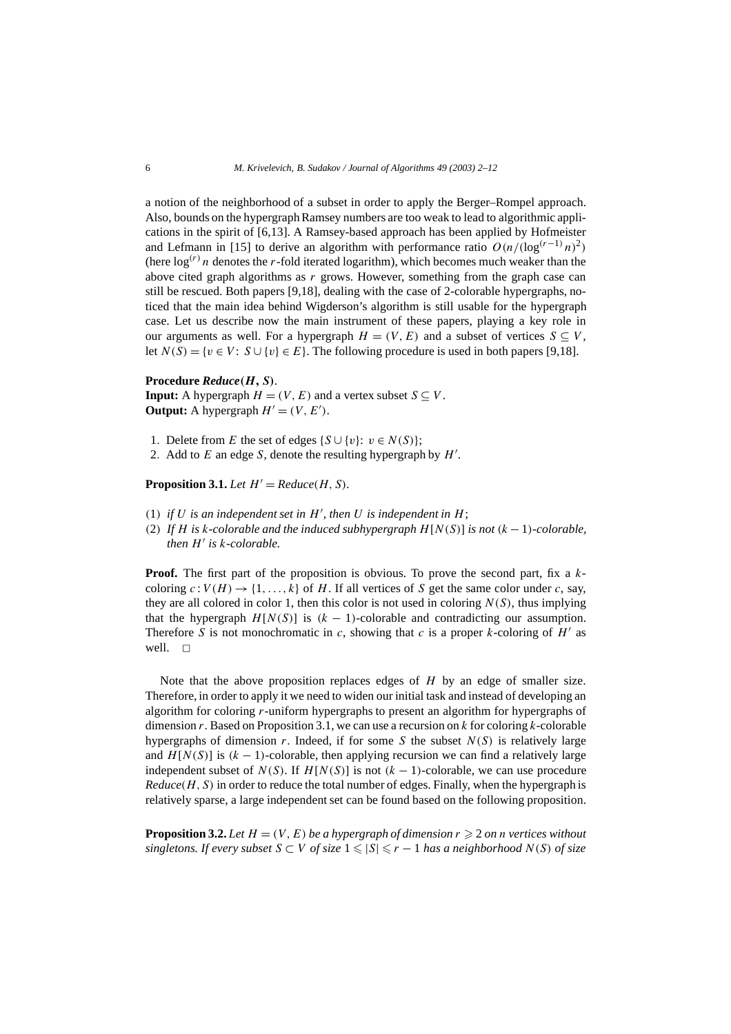a notion of the neighborhood of a subset in order to apply the Berger–Rompel approach. Also, bounds on the hypergraph Ramsey numbers are too weak to lead to algorithmic applications in the spirit of [6,13]. A Ramsey-based approach has been applied by Hofmeister and Lefmann in [15] to derive an algorithm with performance ratio  $O(n/(\log^{(r-1)} n)^2)$ (here  $\log^{(r)} n$  denotes the *r*-fold iterated logarithm), which becomes much weaker than the above cited graph algorithms as *r* grows. However, something from the graph case can still be rescued. Both papers [9,18], dealing with the case of 2-colorable hypergraphs, noticed that the main idea behind Wigderson's algorithm is still usable for the hypergraph case. Let us describe now the main instrument of these papers, playing a key role in our arguments as well. For a hypergraph  $H = (V, E)$  and a subset of vertices  $S \subseteq V$ , let  $N(S) = \{v \in V : S \cup \{v\} \in E\}$ . The following procedure is used in both papers [9,18].

#### **Procedure** *Reduce(H, S)*.

**Input:** A hypergraph  $H = (V, E)$  and a vertex subset  $S \subseteq V$ . **Output:** A hypergraph  $H' = (V, E')$ .

1. Delete from *E* the set of edges  $\{S \cup \{v\}: v \in N(S)\}$ ;

2. Add to  $E$  an edge  $S$ , denote the resulting hypergraph by  $H'$ .

**Proposition 3.1.** *Let*  $H' = Reduce(H, S)$ *.* 

- (1) *if*  $U$  *is an independent set in H', then*  $U$  *is independent in*  $H$ ;
- *(*2*) If H is k-colorable and the induced subhypergraph H*[*N(S)*] *is not (k* − 1*)-colorable, then H is k-colorable.*

**Proof.** The first part of the proposition is obvious. To prove the second part, fix a *k*coloring  $c: V(H) \to \{1, ..., k\}$  of *H*. If all vertices of *S* get the same color under *c*, say, they are all colored in color 1, then this color is not used in coloring  $N(S)$ , thus implying that the hypergraph  $H[N(S)]$  is  $(k-1)$ -colorable and contradicting our assumption. Therefore *S* is not monochromatic in *c*, showing that *c* is a proper *k*-coloring of  $H'$  as well.  $\square$ 

Note that the above proposition replaces edges of *H* by an edge of smaller size. Therefore, in order to apply it we need to widen our initial task and instead of developing an algorithm for coloring *r*-uniform hypergraphs to present an algorithm for hypergraphs of dimension *r*. Based on Proposition 3.1, we can use a recursion on *k* for coloring *k*-colorable hypergraphs of dimension *r*. Indeed, if for some *S* the subset  $N(S)$  is relatively large and  $H[N(S)]$  is  $(k-1)$ -colorable, then applying recursion we can find a relatively large independent subset of  $N(S)$ . If  $H[N(S)]$  is not  $(k-1)$ -colorable, we can use procedure *Reduce(H, S)* in order to reduce the total number of edges. Finally, when the hypergraph is relatively sparse, a large independent set can be found based on the following proposition.

**Proposition 3.2.** Let  $H = (V, E)$  be a hypergraph of dimension  $r \ge 2$  on *n* vertices without  $s$ *ingletons. If every subset*  $S \subset V$  *of size*  $1 \leqslant |S| \leqslant r - 1$  *has a neighborhood*  $N(S)$  *of size*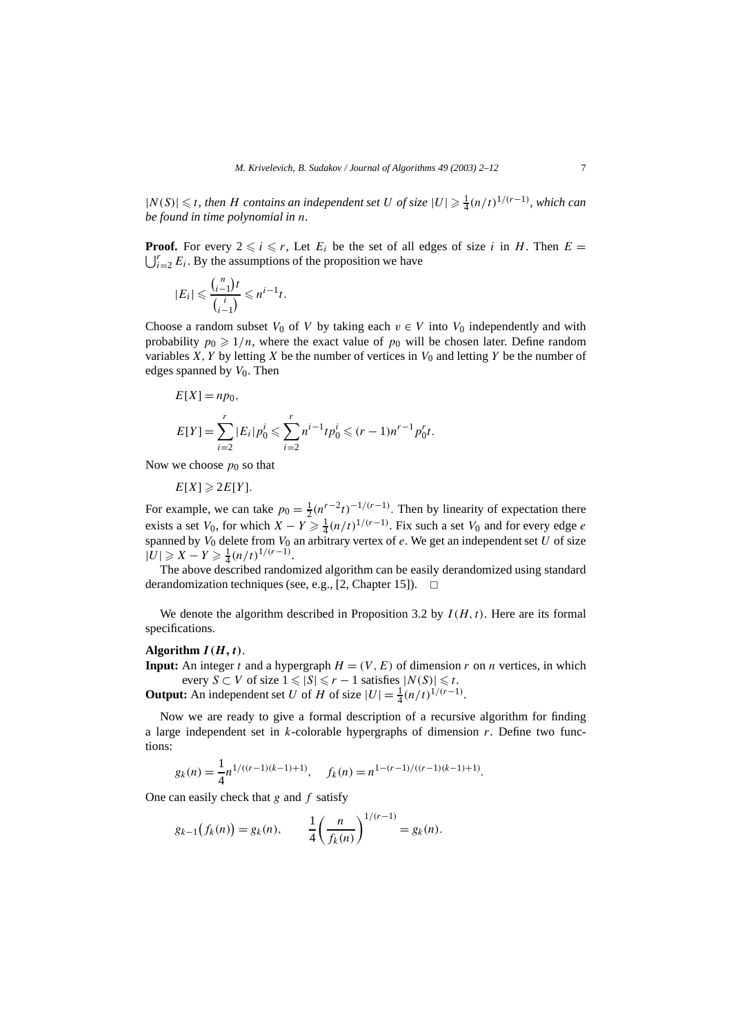$|N(S)|$  ≤ *t, then H contains an independent set U of size*  $|U|$  ≥  $\frac{1}{4}(n/t)^{1/(r-1)}$ *, which can be found in time polynomial in n.*

 $\bigcup_{i=2}^{r} E_i$ . By the assumptions of the proposition we have **Proof.** For every  $2 \le i \le r$ , Let  $E_i$  be the set of all edges of size *i* in *H*. Then  $E = \frac{1}{r} \cdot F$ . By the assumptions of the proposition we have

$$
|E_i| \leqslant \frac{{n \choose i-1}t}{{n \choose i-1}} \leqslant n^{i-1}t.
$$

Choose a random subset  $V_0$  of  $V$  by taking each  $v \in V$  into  $V_0$  independently and with probability  $p_0 \geq 1/n$ , where the exact value of  $p_0$  will be chosen later. Define random variables *X*, *Y* by letting *X* be the number of vertices in  $V_0$  and letting *Y* be the number of edges spanned by  $V_0$ . Then

$$
E[X] = np_0,
$$
  
\n
$$
E[Y] = \sum_{i=2}^{r} |E_i| p_0^i \le \sum_{i=2}^{r} n^{i-1} t p_0^i \le (r-1)n^{r-1} p_0^r t.
$$

Now we choose  $p_0$  so that

 $E[X] \geqslant 2E[Y]$ .

For example, we can take  $p_0 = \frac{1}{2} (n^{r-2} t)^{-1/(r-1)}$ . Then by linearity of expectation there exists a set *V*<sub>0</sub>, for which  $X - Y \ge \frac{1}{4} (n/t)^{1/(r-1)}$ . Fix such a set *V*<sub>0</sub> and for every edge *e* spanned by  $V_0$  delete from  $V_0$  an arbitrary vertex of  $e$ . We get an independent set  $U$  of size  $|U|$  ≥ *X* − *Y* ≥  $\frac{1}{4}$  $(n/t)^{1/(r-1)}$ .

The above described randomized algorithm can be easily derandomized using standard derandomization techniques (see, e.g., [2, Chapter 15]).  $\Box$ 

We denote the algorithm described in Proposition 3.2 by *I (H,t)*. Here are its formal specifications.

#### Algorithm  $I(H, t)$ .

**Input:** An integer *t* and a hypergraph  $H = (V, E)$  of dimension *r* on *n* vertices, in which every  $S \subset V$  of size  $1 \leq |S| \leq r - 1$  satisfies  $|N(S)| \leq t$ .

**Output:** An independent set *U* of *H* of size  $|U| = \frac{1}{4} (n/t)^{1/(r-1)}$ .

Now we are ready to give a formal description of a recursive algorithm for finding a large independent set in *k*-colorable hypergraphs of dimension *r*. Define two functions:

$$
g_k(n) = \frac{1}{4} n^{1/((r-1)(k-1)+1)}, \quad f_k(n) = n^{1-(r-1)/((r-1)(k-1)+1)}.
$$

One can easily check that *g* and *f* satisfy

$$
g_{k-1}(f_k(n)) = g_k(n),
$$
 
$$
\frac{1}{4} \left(\frac{n}{f_k(n)}\right)^{1/(r-1)} = g_k(n).
$$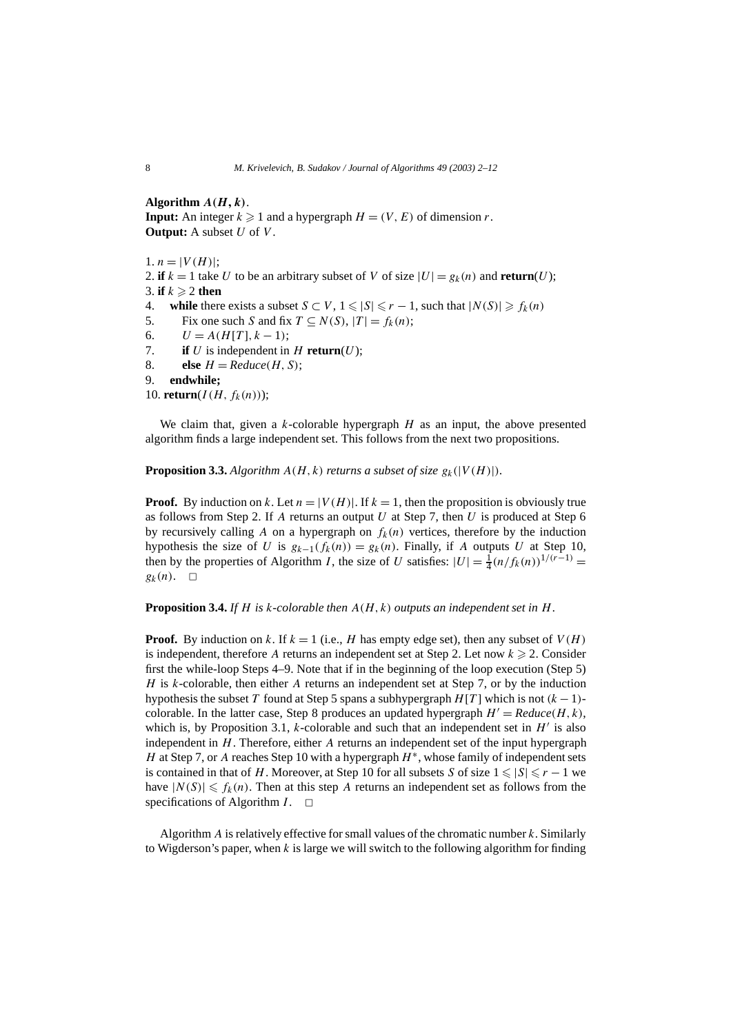Algorithm  $A(H, k)$ . **Input:** An integer  $k \ge 1$  and a hypergraph  $H = (V, E)$  of dimension *r*. **Output:** A subset *U* of *V* .

1.  $n = |V(H)|$ ; 2. **if**  $k = 1$  take *U* to be an arbitrary subset of *V* of size  $|U| = g_k(n)$  and **return** $(U)$ ; 3. **if**  $k \ge 2$  **then** 4. **while** there exists a subset  $S \subset V$ ,  $1 \le |S| \le r - 1$ , such that  $|N(S)| \ge f_k(n)$ 5. Fix one such *S* and fix  $T \subseteq N(S)$ ,  $|T| = f_k(n)$ ; 6.  $U = A(H[T], k-1);$ 7. **if**  $U$  is independent in  $H$  **return** $(U)$ ; 8. **else**  $H = Reduce(H, S)$ ; 9. **endwhile;** 10. **return**( $I(H, f_k(n))$ );

We claim that, given a *k*-colorable hypergraph *H* as an input, the above presented algorithm finds a large independent set. This follows from the next two propositions.

**Proposition 3.3.** Algorithm  $A(H, k)$  returns a subset of size  $g_k(|V(H)|)$ .

**Proof.** By induction on *k*. Let  $n = |V(H)|$ . If  $k = 1$ , then the proposition is obviously true as follows from Step 2. If *A* returns an output *U* at Step 7, then *U* is produced at Step 6 by recursively calling A on a hypergraph on  $f_k(n)$  vertices, therefore by the induction hypothesis the size of *U* is  $g_{k-1}(f_k(n)) = g_k(n)$ . Finally, if *A* outputs *U* at Step 10, then by the properties of Algorithm *I*, the size of *U* satisfies:  $|U| = \frac{1}{4} (n/f_k(n))^{1/(r-1)}$  $g_k(n)$ .  $\Box$ 

## **Proposition 3.4.** *If H is k-colorable then A(H, k) outputs an independent set in H.*

**Proof.** By induction on *k*. If  $k = 1$  (i.e., *H* has empty edge set), then any subset of  $V(H)$ is independent, therefore A returns an independent set at Step 2. Let now  $k \ge 2$ . Consider first the while-loop Steps 4–9. Note that if in the beginning of the loop execution (Step 5) *H* is *k*-colorable, then either *A* returns an independent set at Step 7, or by the induction hypothesis the subset *T* found at Step 5 spans a subhypergraph  $H[T]$  which is not  $(k-1)$ colorable. In the latter case, Step 8 produces an updated hypergraph  $H' = Reduce(H, k)$ , which is, by Proposition 3.1,  $k$ -colorable and such that an independent set in  $H'$  is also independent in *H*. Therefore, either *A* returns an independent set of the input hypergraph *H* at Step 7, or *A* reaches Step 10 with a hypergraph *H*<sup>∗</sup>, whose family of independent sets is contained in that of *H*. Moreover, at Step 10 for all subsets *S* of size  $1 \le |S| \le r - 1$  we have  $|N(S)| \le f_k(n)$ . Then at this step *A* returns an independent set as follows from the specifications of Algorithm  $I$ .  $\Box$ 

Algorithm *A* is relatively effective for small values of the chromatic number *k*. Similarly to Wigderson's paper, when *k* is large we will switch to the following algorithm for finding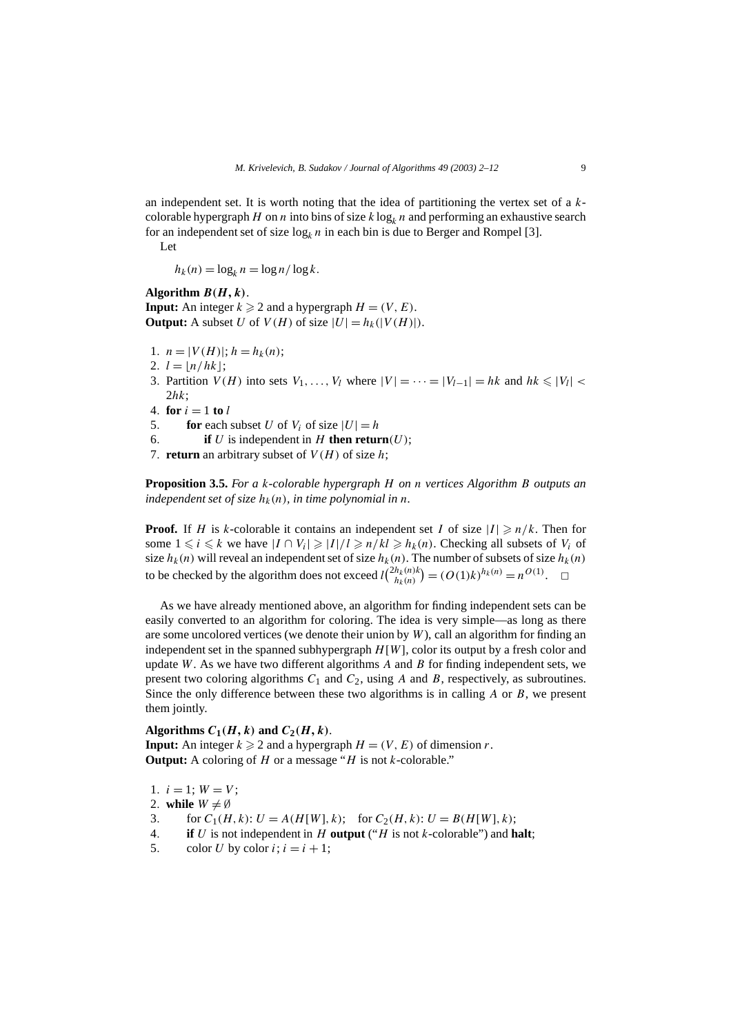an independent set. It is worth noting that the idea of partitioning the vertex set of a *k*colorable hypergraph *H* on *n* into bins of size  $k \log_k n$  and performing an exhaustive search for an independent set of size  $\log_k n$  in each bin is due to Berger and Rompel [3].

Let

 $h_k(n) = \log_k n = \log n / \log k$ .

#### Algorithm  $B(H, k)$ .

**Input:** An integer  $k \ge 2$  and a hypergraph  $H = (V, E)$ . **Output:** A subset *U* of  $V(H)$  of size  $|U| = h_k(|V(H)|)$ .

- 1*.*  $n = |V(H)|$ ;  $h = h_k(n)$ ;
- 2.  $l = |n/hk|$ ;
- 3. Partition  $V(H)$  into sets  $V_1, \ldots, V_l$  where  $|V| = \cdots = |V_{l-1}| = hk$  and  $hk \leq |V_l|$ 2*hk*;
- 4*.* **for**  $i = 1$  **to**  $l$
- 5. **for** each subset *U* of  $V_i$  of size  $|U| = h$
- 6. **if** *U* is independent in *H* **then return** $(U)$ ;
- 7. **return** an arbitrary subset of  $V(H)$  of size *h*;

**Proposition 3.5.** *For a k-colorable hypergraph H on n vertices Algorithm B outputs an independent set of size*  $h_k(n)$ *, in time polynomial in n.* 

**Proof.** If *H* is *k*-colorable it contains an independent set *I* of size  $|I| \ge n/k$ . Then for some  $1 \leq i \leq k$  we have  $|I \cap V_i| \geq |I|/l \geq n/kl \geq h_k(n)$ . Checking all subsets of  $V_i$  of size  $h_k(n)$  will reveal an independent set of size  $h_k(n)$ . The number of subsets of size  $h_k(n)$ to be checked by the algorithm does not exceed  $l\binom{2h_k(n)k}{h_k(n)} = (O(1)k)^{h_k(n)} = n^{O(1)}$ .  $\Box$ 

As we have already mentioned above, an algorithm for finding independent sets can be easily converted to an algorithm for coloring. The idea is very simple—as long as there are some uncolored vertices (we denote their union by *W*), call an algorithm for finding an independent set in the spanned subhypergraph *H*[*W*], color its output by a fresh color and update *W*. As we have two different algorithms *A* and *B* for finding independent sets, we present two coloring algorithms *C*<sup>1</sup> and *C*2, using *A* and *B*, respectively, as subroutines. Since the only difference between these two algorithms is in calling *A* or *B*, we present them jointly.

## Algorithms  $C_1(H, k)$  and  $C_2(H, k)$ .

**Input:** An integer  $k \ge 2$  and a hypergraph  $H = (V, E)$  of dimension *r*. **Output:** A coloring of *H* or a message "*H* is not *k*-colorable."

- 1*.*  $i = 1$ ;  $W = V$ ;
- 2. **while**  $W \neq \emptyset$
- 3. for  $C_1(H, k): U = A(H[W], k);$  for  $C_2(H, k): U = B(H[W], k);$
- 4*.* **if** *U* is not independent in *H* **output** ("*H* is not *k*-colorable") and **halt**;
- 5. color *U* by color  $i$ ;  $i = i + 1$ ;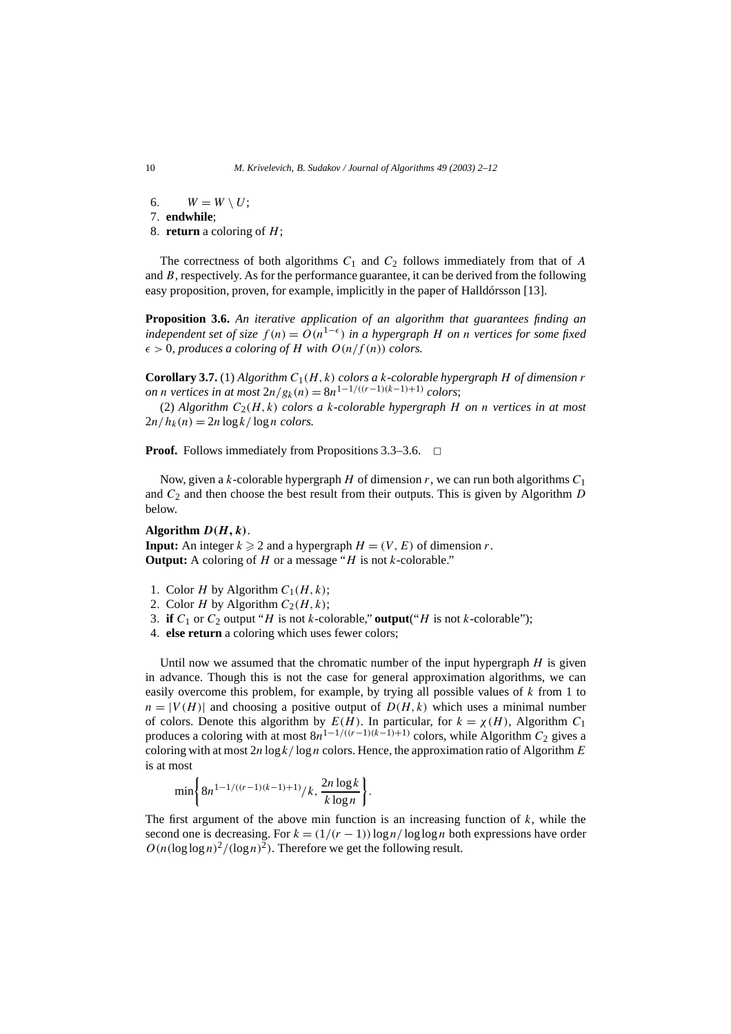6.  $W = W \setminus U$ ;

7*.* **endwhile**;

8*.* **return** a coloring of *H*;

The correctness of both algorithms  $C_1$  and  $C_2$  follows immediately from that of  $A$ and *B*, respectively. As for the performance guarantee, it can be derived from the following easy proposition, proven, for example, implicitly in the paper of Halldórsson [13].

**Proposition 3.6.** *An iterative application of an algorithm that guarantees finding an independent set of size*  $f(n) = O(n^{1-\epsilon})$  *in a hypergraph H on n vertices for some fixed*  $\epsilon > 0$ , produces a coloring of *H* with  $O(n/f(n))$  colors.

**Corollary 3.7.** (1) Algorithm  $C_1(H, k)$  colors a *k*-colorable hypergraph *H* of dimension *r on n vertices in at most*  $2n/g_k(n) = 8n^{1-1/(r-1)(k-1)+1}$  *colors*;

(2) *Algorithm*  $C_2(H, k)$  *colors a k-colorable hypergraph H on n vertices in at most*  $2n/h_k(n) = 2n \log k / \log n$  *colors.* 

**Proof.** Follows immediately from Propositions  $3.3-3.6$ .  $\Box$ 

Now, given a *k*-colorable hypergraph *H* of dimension *r*, we can run both algorithms *C*<sup>1</sup> and *C*<sup>2</sup> and then choose the best result from their outputs. This is given by Algorithm *D* below.

## **Algorithm** *D(H, k)*.

**Input:** An integer  $k \ge 2$  and a hypergraph  $H = (V, E)$  of dimension *r*. **Output:** A coloring of *H* or a message "*H* is not *k*-colorable."

- 1. Color *H* by Algorithm  $C_1(H, k)$ ;
- 2. Color *H* by Algorithm  $C_2(H, k)$ ;
- 3. **if**  $C_1$  or  $C_2$  output "*H* is not *k*-colorable," **output**("*H* is not *k*-colorable");
- 4*.* **else return** a coloring which uses fewer colors;

Until now we assumed that the chromatic number of the input hypergraph *H* is given in advance. Though this is not the case for general approximation algorithms, we can easily overcome this problem, for example, by trying all possible values of *k* from 1 to  $n = |V(H)|$  and choosing a positive output of  $D(H, k)$  which uses a minimal number of colors. Denote this algorithm by  $E(H)$ . In particular, for  $k = \chi(H)$ , Algorithm  $C_1$ produces a coloring with at most  $8n^{1-1/(r-1)(k-1)+1}$  colors, while Algorithm  $C_2$  gives a coloring with at most 2*n* log *k/* log*n* colors. Hence, the approximation ratio of Algorithm *E* is at most

$$
\min\left\{8n^{1-1/((r-1)(k-1)+1)}/k,\frac{2n\log k}{k\log n}\right\}
$$

The first argument of the above min function is an increasing function of  $k$ , while the second one is decreasing. For  $k = (1/(r - 1)) \log n / \log \log n$  both expressions have order  $O(n(\log \log n)^2/(\log n)^2)$ . Therefore we get the following result.

*.*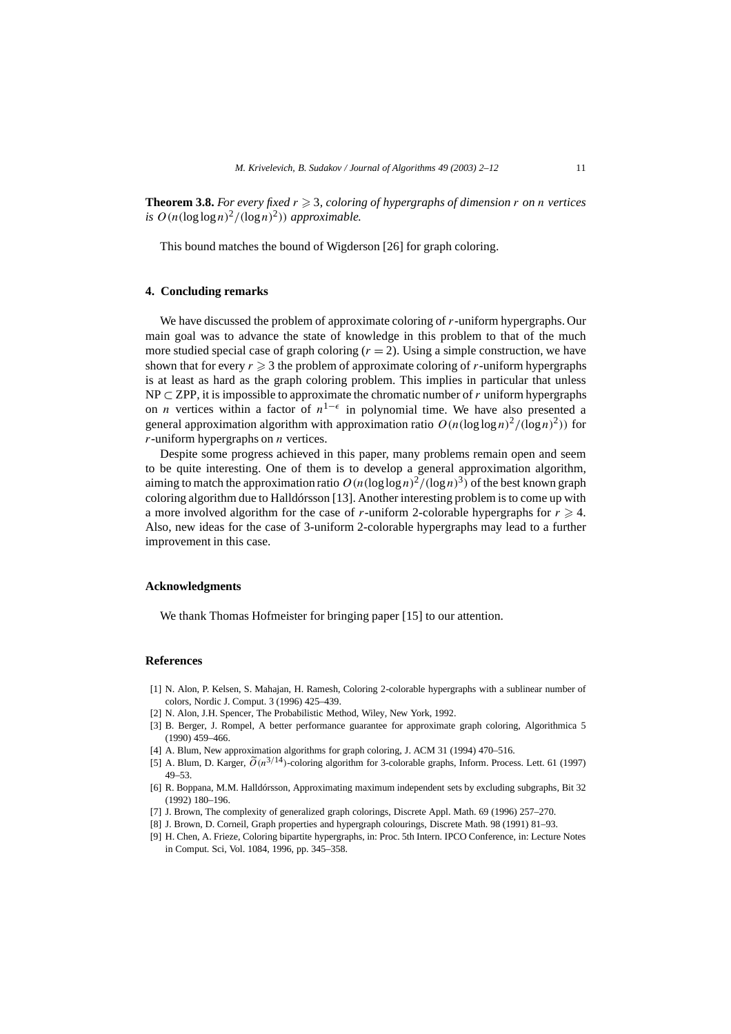**Theorem 3.8.** For every fixed  $r \geq 3$ , coloring of hypergraphs of dimension  $r$  on  $n$  vertices *is*  $O(n(\log \log n)^2/(\log n)^2)$  *approximable.* 

This bound matches the bound of Wigderson [26] for graph coloring.

#### **4. Concluding remarks**

We have discussed the problem of approximate coloring of *r*-uniform hypergraphs. Our main goal was to advance the state of knowledge in this problem to that of the much more studied special case of graph coloring  $(r = 2)$ . Using a simple construction, we have shown that for every  $r \geq 3$  the problem of approximate coloring of *r*-uniform hypergraphs is at least as hard as the graph coloring problem. This implies in particular that unless NP ⊂ ZPP, it is impossible to approximate the chromatic number of *r* uniform hypergraphs on *n* vertices within a factor of  $n^{1-\epsilon}$  in polynomial time. We have also presented a general approximation algorithm with approximation ratio  $O(n(\log \log n)^2/(\log n)^2)$  for *r*-uniform hypergraphs on *n* vertices.

Despite some progress achieved in this paper, many problems remain open and seem to be quite interesting. One of them is to develop a general approximation algorithm, aiming to match the approximation ratio  $O(n(\log \log n)^2/(\log n)^3)$  of the best known graph coloring algorithm due to Halldórsson [13]. Another interesting problem is to come up with a more involved algorithm for the case of *r*-uniform 2-colorable hypergraphs for  $r \geq 4$ . Also, new ideas for the case of 3-uniform 2-colorable hypergraphs may lead to a further improvement in this case.

## **Acknowledgments**

We thank Thomas Hofmeister for bringing paper [15] to our attention.

#### **References**

- [1] N. Alon, P. Kelsen, S. Mahajan, H. Ramesh, Coloring 2-colorable hypergraphs with a sublinear number of colors, Nordic J. Comput. 3 (1996) 425–439.
- [2] N. Alon, J.H. Spencer, The Probabilistic Method, Wiley, New York, 1992.
- [3] B. Berger, J. Rompel, A better performance guarantee for approximate graph coloring, Algorithmica 5 (1990) 459–466.
- [4] A. Blum, New approximation algorithms for graph coloring, J. ACM 31 (1994) 470–516.
- [5] A. Blum, D. Karger,  $\tilde{O}(n^{3/14})$ -coloring algorithm for 3-colorable graphs, Inform. Process. Lett. 61 (1997) 49–53.
- [6] R. Boppana, M.M. Halldórsson, Approximating maximum independent sets by excluding subgraphs, Bit 32 (1992) 180–196.
- [7] J. Brown, The complexity of generalized graph colorings, Discrete Appl. Math. 69 (1996) 257–270.
- [8] J. Brown, D. Corneil, Graph properties and hypergraph colourings, Discrete Math. 98 (1991) 81–93.
- [9] H. Chen, A. Frieze, Coloring bipartite hypergraphs, in: Proc. 5th Intern. IPCO Conference, in: Lecture Notes in Comput. Sci, Vol. 1084, 1996, pp. 345–358.